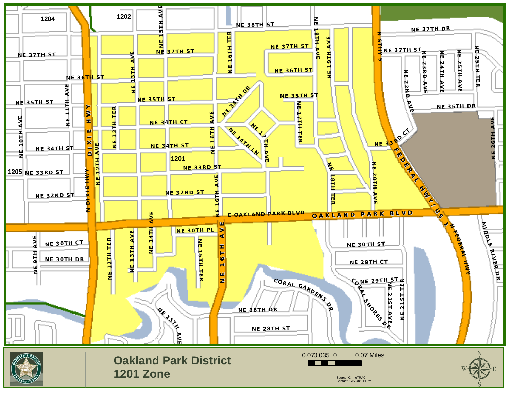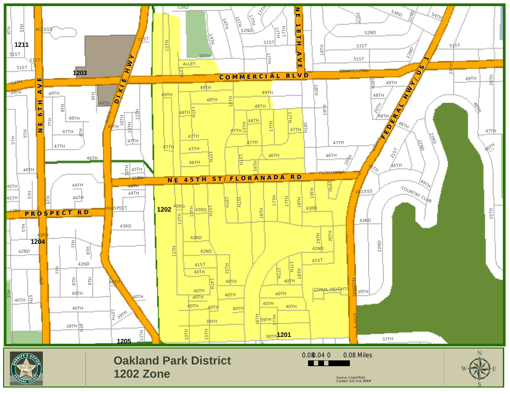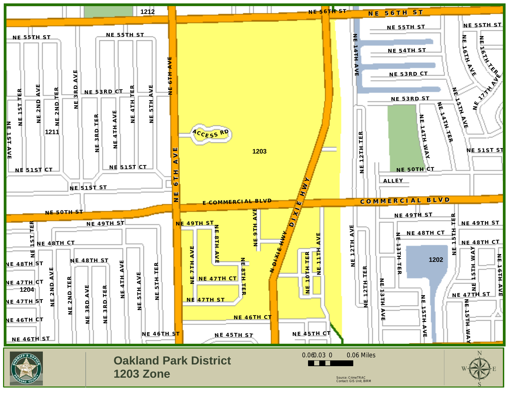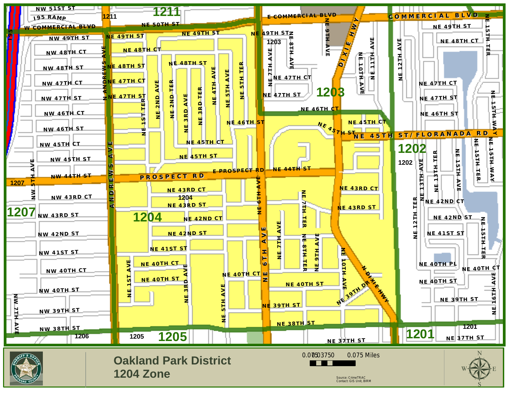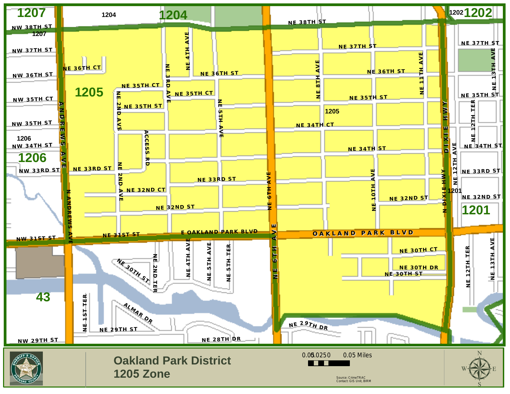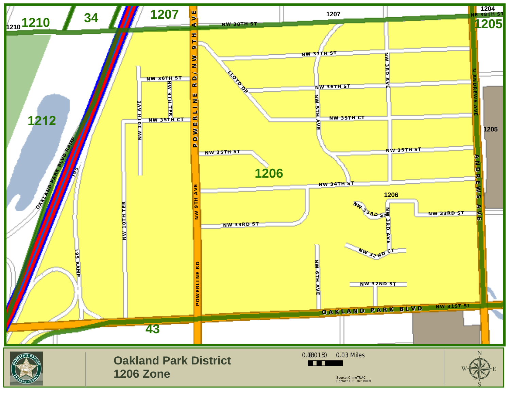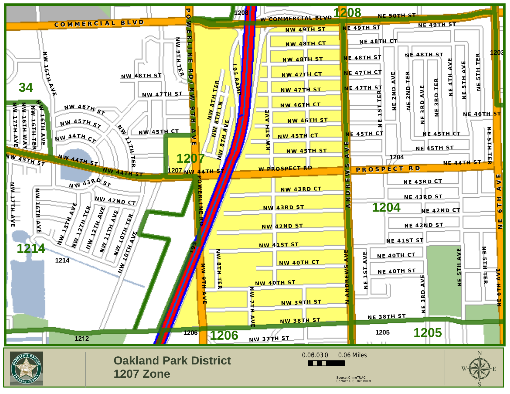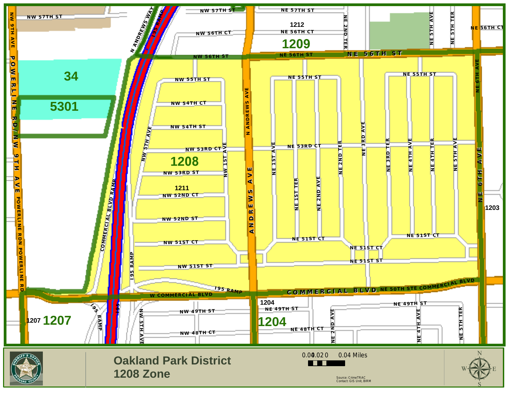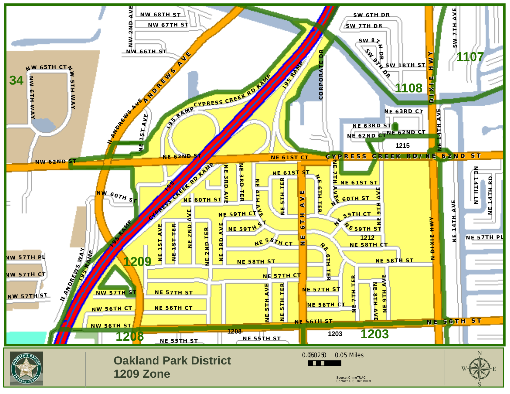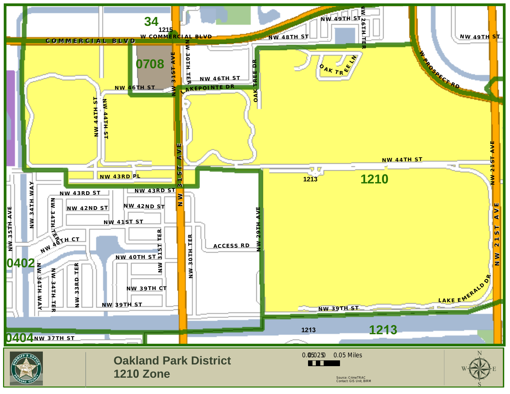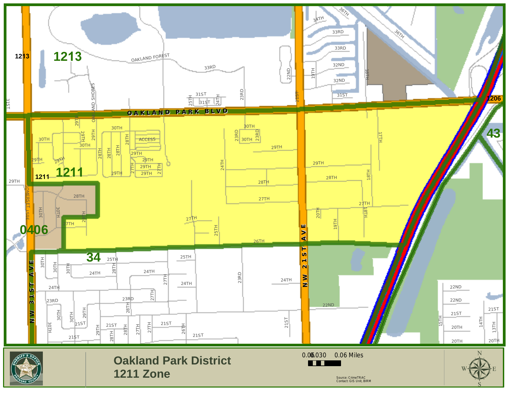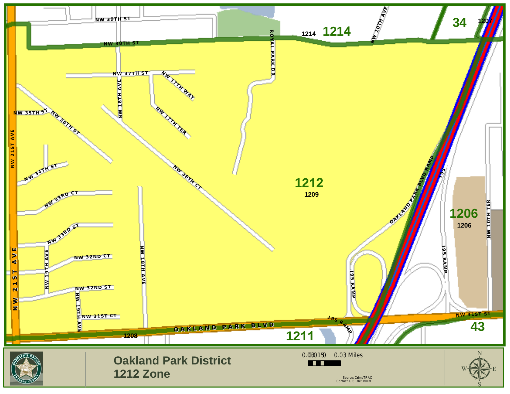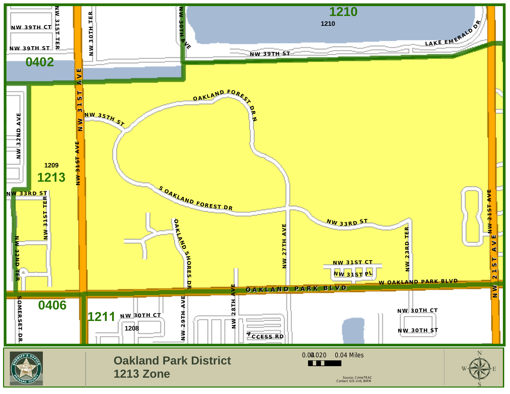